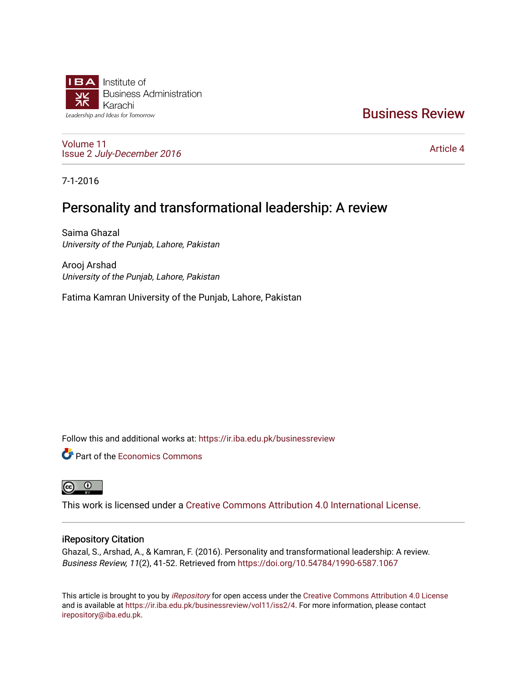

# [Business Review](https://ir.iba.edu.pk/businessreview)

[Volume 11](https://ir.iba.edu.pk/businessreview/vol11) Issue 2 [July-December 2016](https://ir.iba.edu.pk/businessreview/vol11/iss2)

[Article 4](https://ir.iba.edu.pk/businessreview/vol11/iss2/4) 

7-1-2016

# Personality and transformational leadership: A review

Saima Ghazal University of the Punjab, Lahore, Pakistan

Arooj Arshad University of the Punjab, Lahore, Pakistan

Fatima Kamran University of the Punjab, Lahore, Pakistan

Follow this and additional works at: [https://ir.iba.edu.pk/businessreview](https://ir.iba.edu.pk/businessreview?utm_source=ir.iba.edu.pk%2Fbusinessreview%2Fvol11%2Fiss2%2F4&utm_medium=PDF&utm_campaign=PDFCoverPages) 

**C** Part of the [Economics Commons](http://network.bepress.com/hgg/discipline/340?utm_source=ir.iba.edu.pk%2Fbusinessreview%2Fvol11%2Fiss2%2F4&utm_medium=PDF&utm_campaign=PDFCoverPages)



This work is licensed under a [Creative Commons Attribution 4.0 International License](https://creativecommons.org/licenses/by/4.0/).

## iRepository Citation

Ghazal, S., Arshad, A., & Kamran, F. (2016). Personality and transformational leadership: A review. Business Review, 11(2), 41-52. Retrieved from<https://doi.org/10.54784/1990-6587.1067>

This article is brought to you by [iRepository](https://ir.iba.edu.pk/) for open access under the Creative Commons Attribution 4.0 License and is available at [https://ir.iba.edu.pk/businessreview/vol11/iss2/4.](https://ir.iba.edu.pk/businessreview/vol11/iss2/4) For more information, please contact [irepository@iba.edu.pk.](mailto:irepository@iba.edu.pk)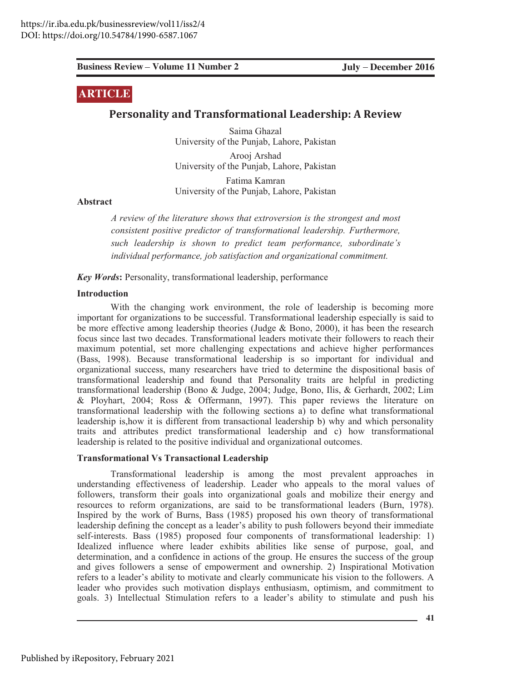# **ARTICLE**

## **Personality and Transformational Leadership: A Review**

Saima Ghazal University of the Punjab, Lahore, Pakistan

Arooj Arshad University of the Punjab, Lahore, Pakistan

Fatima Kamran University of the Punjab, Lahore, Pakistan

Abstract

*A review of the literature shows that extroversion is the strongest and most* consistent positive predictor of transformational leadership. Furthermore, *Such leadership is shown to predict team performance, subordinate's individual performance, job satisfaction and organizational commitment.* 

*Key Words*: Personality, transformational leadership, performance

#### **Introduction**

**Eusines: Review Volume 11 Number 2**<br> **ARTICELE**<br> **Personality and Transformational Leadership: A Review Saim Ginzal<br>
University of the Punjob, Labore, Pakistan<br>
University of the Punjob, Labore, Pakistan<br>
Abstract<br>**  $A$  **C** With the changing work environment, the role of leadership is becoming more important for organizations to be successful. Transformational leadership especially is said to be more effective among leadership theories (Judge & Bono, 2000), it has been the research focus since last two decades. Transformational leaders motivate their followers to reach their maximum potential, set more challenging expectations and achieve higher performances (Bass, 1998). Because transformational leadership is so important for individual and organizational success, many researchers have tried to determine the dispositional basis of transformational leadership and found that Personality traits are helpful in predicting transformational leadership (Bono & Judge, 2004; Judge, Bono, Ilis, & Gerhardt, 2002; Lim & Ployhart, 2004; Ross & Offermann, 1997). This paper reviews the literature on transformational leadership with the following sections a) to define what transformational leadership is, how it is different from transactional leadership b) why and which personality traits and attributes predict transformational leadership and c) how transformational leadership is related to the positive individual and organizational outcomes.

#### **Transformational Vs Transactional Leadership**

Transformational leadership is among the most prevalent approaches in understanding effectiveness of leadership. Leader who appeals to the moral values of followers, transform their goals into organizational goals and mobilize their energy and resources to reform organizations, are said to be transformational leaders (Burn, 1978). Inspired by the work of Burns, Bass (1985) proposed his own theory of transformational leadership defining the concept as a leader's ability to push followers beyond their immediate self-interests. Bass (1985) proposed four components of transformational leadership: 1) Idealized influence where leader exhibits abilities like sense of purpose, goal, and determination, and a confidence in actions of the group. He ensures the success of the group and gives followers a sense of empowerment and ownership. 2) Inspirational Motivation refers to a leader's ability to motivate and clearly communicate his vision to the followers. A leader who provides such motivation displays enthusiasm, optimism, and commitment to goals. 3) Intellectual Stimulation refers to a leader's ability to stimulate and push his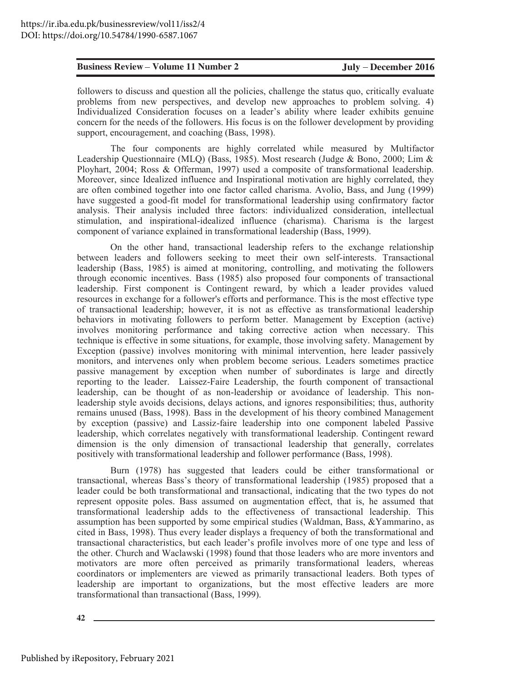followers to discuss and question all the policies, challenge the status quo, critically evaluate problems from new perspectives, and develop new approaches to problem solving. 4) Individualized Consideration focuses on a leader's ability where leader exhibits genuine concern for the needs of the followers. His focus is on the follower development by providing support, encouragement, and coaching (Bass, 1998).

The four components are highly correlated while measured by Multifactor Leadership Questionnaire (MLQ) (Bass, 1985). Most research (Judge & Bono, 2000; Lim & Ployhart, 2004; Ross & Offerman, 1997) used a composite of transformational leadership. Moreover, since Idealized influence and Inspirational motivation are highly correlated, they are often combined together into one factor called charisma. Avolio, Bass, and Jung (1999) have suggested a good-fit model for transformational leadership using confirmatory factor analysis. Their analysis included three factors: individualized consideration, intellectual stimulation, and inspirational-idealized influence (charisma). Charisma is the largest component of variance explained in transformational leadership (Bass, 1999).

On the other hand, transactional leadership refers to the exchange relationship between leaders and followers seeking to meet their own self-interests. Transactional leadership (Bass, 1985) is aimed at monitoring, controlling, and motivating the followers through economic incentives. Bass (1985) also proposed four components of transactional leadership. First component is Contingent reward, by which a leader provides valued resources in exchange for a follower's efforts and performance. This is the most effective type of transactional leadership; however, it is not as effective as transformational leadership behaviors in motivating followers to perform better. Management by Exception (active) involves monitoring performance and taking corrective action when necessary. This technique is effective in some situations, for example, those involving safety. Management by Exception (passive) involves monitoring with minimal intervention, here leader passively monitors, and intervenes only when problem become serious. Leaders sometimes practice passive management by exception when number of subordinates is large and directly reporting to the leader. Laissez-Faire Leadership, the fourth component of transactional leadership, can be thought of as non-leadership or avoidance of leadership. This nonleadership style avoids decisions, delays actions, and ignores responsibilities; thus, authority remains unused (Bass, 1998). Bass in the development of his theory combined Management by exception (passive) and Lassiz-faire leadership into one component labeled Passive leadership, which correlates negatively with transformational leadership. Contingent reward dimension is the only dimension of transactional leadership that generally, correlates positively with transformational leadership and follower performance (Bass, 1998).

Burn (1978) has suggested that leaders could be either transformational or transactional, whereas Bass's theory of transformational leadership (1985) proposed that a leader could be both transformational and transactional, indicating that the two types do not represent opposite poles. Bass assumed on augmentation effect, that is, he assumed that transformational leadership adds to the effectiveness of transactional leadership. This assumption has been supported by some empirical studies (Waldman, Bass, &Yammarino, as cited in Bass, 1998). Thus every leader displays a frequency of both the transformational and transactional characteristics, but each leader's profile involves more of one type and less of the other. Church and Waclawski (1998) found that those leaders who are more inventors and motivators are more often perceived as primarily transformational leaders, whereas coordinators or implementers are viewed as primarily transactional leaders. Both types of leadership are important to organizations, but the most effective leaders are more transformational than transactional (Bass, 1999).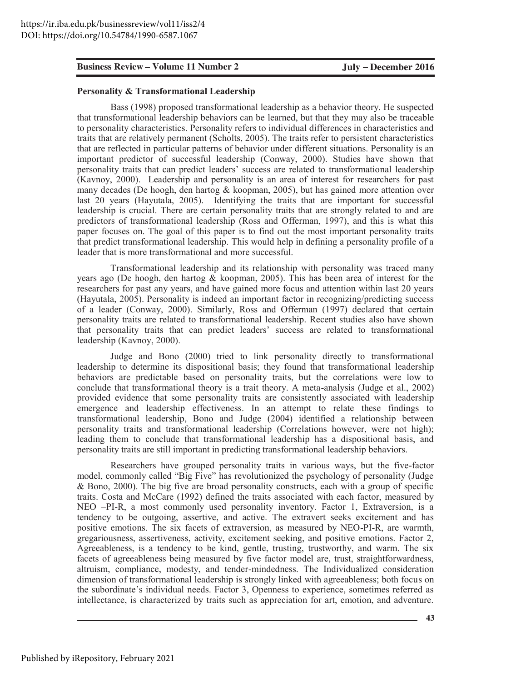**Examines Review Volume 11 Number 2<br>
<b>Crossonly Secure 2016**<br> **Presenther Maintain Leadership**<br> **Example 18. Transformational leadership**<br> **Example 18. 10935** proposed transformational leadership as a behavior theory. He a Bass (1998) proposed transformational leadership as a behavior theory. He suspected that transformational leadership behaviors can be learned, but that they may also be traceable to personality characteristics. Personality refers to individual differences in characteristics and traits that are relatively permanent (Scholts, 2005). The traits refer to persistent characteristics that are reflected in particular patterns of behavior under different situations. Personality is an important predictor of successful leadership (Conway, 2000). Studies have shown that personality traits that can predict leaders' success are related to transformational leadership (Kavnoy, 2000). Leadership and personality is an area of interest for researchers for past many decades (De hoogh, den hartog  $\⊂>$  koopman, 2005), but has gained more attention over last 20 years (Hayutala, 2005). Identifying the traits that are important for successful leadership is crucial. There are certain personality traits that are strongly related to and are predictors of transformational leadership (Ross and Offerman, 1997), and this is what this paper focuses on. The goal of this paper is to find out the most important personality traits that predict transformational leadership. This would help in defining a personality profile of a leader that is more transformational and more successful.

Transformational leadership and its relationship with personality was traced many years ago (De hoogh, den hartog  $\&$  koopman, 2005). This has been area of interest for the researchers for past any years, and have gained more focus and attention within last 20 years (Hayutala, 2005). Personality is indeed an important factor in recognizing/predicting success of a leader (Conway, 2000). Similarly, Ross and Offerman (1997) declared that certain personality traits are related to transformational leadership. Recent studies also have shown that personality traits that can predict leaders' success are related to transformational leadership (Kavnoy, 2000).

Judge and Bono (2000) tried to link personality directly to transformational leadership to determine its dispositional basis; they found that transformational leadership behaviors are predictable based on personality traits, but the correlations were low to conclude that transformational theory is a trait theory. A meta-analysis (Judge et al.,  $2002$ ) provided evidence that some personality traits are consistently associated with leadership emergence and leadership effectiveness. In an attempt to relate these findings to transformational leadership, Bono and Judge (2004) identified a relationship between personality traits and transformational leadership (Correlations however, were not high); leading them to conclude that transformational leadership has a dispositional basis, and personality traits are still important in predicting transformational leadership behaviors.

Researchers have grouped personality traits in various ways, but the five-factor model, commonly called "Big Five" has revolutionized the psychology of personality (Judge & Bono, 2000). The big five are broad personality constructs, each with a group of specific traits. Costa and McCare (1992) defined the traits associated with each factor, measured by NEO -PI-R, a most commonly used personality inventory. Factor 1, Extraversion, is a tendency to be outgoing, assertive, and active. The extravert seeks excitement and has positive emotions. The six facets of extraversion, as measured by NEO-PI-R, are warmth, gregariousness, assertiveness, activity, excitement seeking, and positive emotions. Factor 2, Agreeableness, is a tendency to be kind, gentle, trusting, trustworthy, and warm. The six facets of agreeableness being measured by five factor model are, trust, straightforwardness, altruism, compliance, modesty, and tender-mindedness. The Individualized consideration dimension of transformational leadership is strongly linked with agreeableness; both focus on the subordinate's individual needs. Factor 3, Openness to experience, sometimes referred as intellectance, is characterized by traits such as appreciation for art, emotion, and adventure.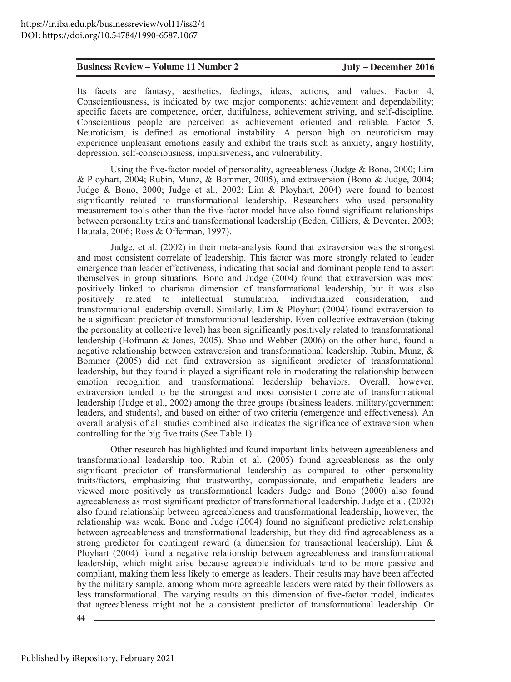Its facets are fantasy, aesthetics, feelings, ideas, actions, and values. Factor 4, Conscientiousness, is indicated by two major components: achievement and dependability; specific facets are competence, order, dutifulness, achievement striving, and self-discipline.  $\dot{\text{Cons}}$  conscientious people are perceived as achievement oriented and reliable. Factor 5, Neuroticism, is defined as emotional instability. A person high on neuroticism may experience unpleasant emotions easily and exhibit the traits such as anxiety, angry hostility, depression, self-consciousness, impulsiveness, and vulnerability.

Using the five-factor model of personality, agreeableness (Judge & Bono, 2000; Lim & Ployhart, 2004; Rubin, Munz, & Bommer, 2005), and extraversion (Bono & Judge, 2004; Judge & Bono, 2000; Judge et al., 2002; Lim & Ployhart, 2004) were found to bemost significantly related to transformational leadership. Researchers who used personality measurement tools other than the five-factor model have also found significant relationships between personality traits and transformational leadership (Eeden, Cilliers,  $\&$  Deventer, 2003; Hautala, 2006; Ross & Offerman, 1997).

**Existies:** Review Volume 11 Number 2 July December 2016<br>
18 Sinch scheck are contrast, and the contrast and values in the contrast and the contrast and the contrast and the contrast and the contrast and the contrast and Judge, et al. (2002) in their meta-analysis found that extraversion was the strongest and most consistent correlate of leadership. This factor was more strongly related to leader emergence than leader effectiveness, indicating that social and dominant people tend to assert themselves in group situations. Bono and Judge (2004) found that extraversion was most positively linked to charisma dimension of transformational leadership, but it was also positively related to intellectual stimulation, individualized consideration, and transformational leadership overall. Similarly, Lim & Ployhart (2004) found extraversion to be a significant predictor of transformational leadership. Even collective extraversion (taking the personality at collective level) has been significantly positively related to transformational leadership (Hofmann & Jones, 2005). Shao and Webber  $(2006)$  on the other hand, found a negative relationship between extraversion and transformational leadership. Rubin, Munz,  $\&$ Bommer (2005) did not find extraversion as significant predictor of transformational leadership, but they found it played a significant role in moderating the relationship between emotion recognition and transformational leadership behaviors. Overall, however, extraversion tended to be the strongest and most consistent correlate of transformational leadership (Judge et al., 2002) among the three groups (business leaders, military/government leaders, and students), and based on either of two criteria (emergence and effectiveness). An overall analysis of all studies combined also indicates the significance of extraversion when controlling for the big five traits (See Table 1).

Other research has highlighted and found important links between agreeableness and transformational leadership too. Rubin et al. (2005) found agreeableness as the only significant predictor of transformational leadership as compared to other personality traits/factors, emphasizing that trustworthy, compassionate, and empathetic leaders are viewed more positively as transformational leaders Judge and Bono (2000) also found agreeableness as most significant predictor of transformational leadership. Judge et al. (2002) also found relationship between agreeableness and transformational leadership, however, the relationship was weak. Bono and Judge (2004) found no significant predictive relationship between agreeableness and transformational leadership, but they did find agreeableness as a strong predictor for contingent reward (a dimension for transactional leadership). Lim  $\&$ Ployhart (2004) found a negative relationship between agreeableness and transformational leadership, which might arise because agreeable individuals tend to be more passive and compliant, making them less likely to emerge as leaders. Their results may have been affected by the military sample, among whom more agreeable leaders were rated by their followers as less transformational. The varying results on this dimension of five-factor model, indicates that agreeableness might not be a consistent predictor of transformational leadership. Or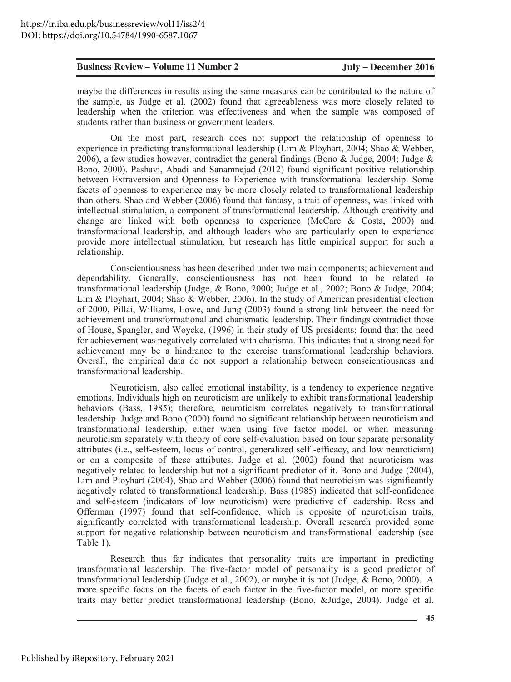maybe the differences in results using the same measures can be contributed to the nature of the sample, as Judge et al. (2002) found that agreeableness was more closely related to leadership when the criterion was effectiveness and when the sample was composed of students rather than business or government leaders.

On the most part, research does not support the relationship of openness to experience in predicting transformational leadership (Lim & Ployhart, 2004; Shao & Webber, 2006), a few studies however, contradict the general findings (Bono & Judge, 2004; Judge & Bono, 2000). Pashavi, Abadi and Sanamnejad (2012) found significant positive relationship between Extraversion and Openness to Experience with transformational leadership. Some facets of openness to experience may be more closely related to transformational leadership than others. Shao and Webber (2006) found that fantasy, a trait of openness, was linked with intellectual stimulation, a component of transformational leadership. Although creativity and change are linked with both openness to experience (McCare  $\&$  Costa, 2000) and transformational leadership, and although leaders who are particularly open to experience provide more intellectual stimulation, but research has little empirical support for such a relationship.

Conscientiousness has been described under two main components; achievement and dependability. Generally, conscientiousness has not been found to be related to transformational leadership (Judge, & Bono, 2000; Judge et al., 2002; Bono & Judge, 2004; Lim & Ployhart, 2004; Shao & Webber, 2006). In the study of American presidential election of 2000, Pillai, Williams, Lowe, and Jung (2003) found a strong link between the need for achievement and transformational and charismatic leadership. Their findings contradict those of House, Spangler, and Woycke, (1996) in their study of US presidents; found that the need for achievement was negatively correlated with charisma. This indicates that a strong need for achievement may be a hindrance to the exercise transformational leadership behaviors. Overall, the empirical data do not support a relationship between conscientiousness and transformational leadership.

Neuroticism, also called emotional instability, is a tendency to experience negative emotions. Individuals high on neuroticism are unlikely to exhibit transformational leadership behaviors (Bass, 1985); therefore, neuroticism correlates negatively to transformational leadership. Judge and Bono (2000) found no significant relationship between neuroticism and transformational leadership, either when using five factor model, or when measuring neuroticism separately with theory of core self-evaluation based on four separate personality attributes (i.e., self-esteem, locus of control, generalized self-efficacy, and low neuroticism) or on a composite of these attributes. Judge et al. (2002) found that neuroticism was negatively related to leadership but not a significant predictor of it. Bono and Judge (2004), Lim and Ployhart (2004), Shao and Webber (2006) found that neuroticism was significantly negatively related to transformational leadership. Bass (1985) indicated that self-confidence and self-esteem (indicators of low neuroticism) were predictive of leadership. Ross and Offerman (1997) found that self-confidence, which is opposite of neuroticism traits, significantly correlated with transformational leadership. Overall research provided some support for negative relationship between neuroticism and transformational leadership (see Table 1).

Research thus far indicates that personality traits are important in predicting transformational leadership. The five-factor model of personality is a good predictor of transformational leadership (Judge et al., 2002), or maybe it is not (Judge, & Bono, 2000). A more specific focus on the facets of each factor in the five-factor model, or more specific traits may better predict transformational leadership (Bono, &Judge, 2004). Judge et al.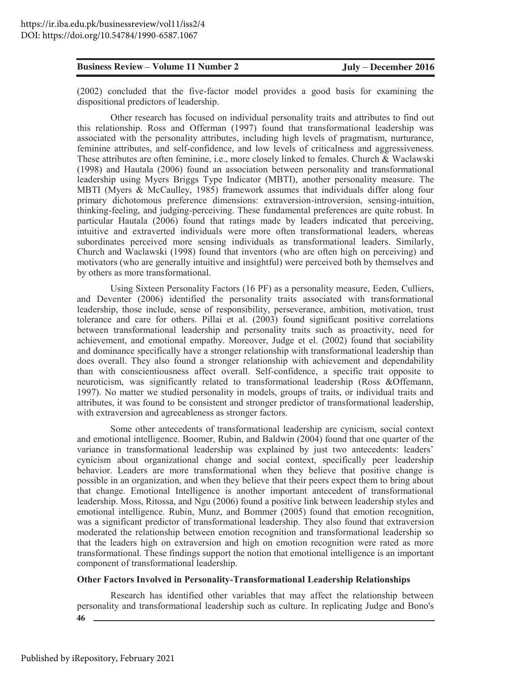$(2002)$  concluded that the five-factor model provides a good basis for examining the dispositional predictors of leadership.

**Easiness Review Volume 11 Number 2**<br> *COUP)* consider that the five-finerator model provides a good has for examining the<br>dispositional predictors of feadership.<br>
dispositional predictors in Roster dispositional provide Other research has focused on individual personality traits and attributes to find out this relationship. Ross and Offerman (1997) found that transformational leadership was associated with the personality attributes, including high levels of pragmatism, nurturance, feminine attributes, and self-confidence, and low levels of criticalness and aggressiveness. These attributes are often feminine, i.e., more closely linked to females. Church & Waclawski  $(1998)$  and Hautala  $(2006)$  found an association between personality and transformational leadership using Myers Briggs Type Indicator (MBTI), another personality measure. The MBTI (Myers & McCaulley, 1985) framework assumes that individuals differ along four primary dichotomous preference dimensions: extraversion-introversion, sensing-intuition, thinking-feeling, and judging-perceiving. These fundamental preferences are quite robust. In particular Hautala  $(2006)$  found that ratings made by leaders indicated that perceiving, intuitive and extraverted individuals were more often transformational leaders, whereas subordinates perceived more sensing individuals as transformational leaders. Similarly, Church and Waclawski (1998) found that inventors (who are often high on perceiving) and motivators (who are generally intuitive and insightful) were perceived both by themselves and by others as more transformational.

Using Sixteen Personality Factors (16 PF) as a personality measure, Eeden, Culliers, and Deventer (2006) identified the personality traits associated with transformational leadership, those include, sense of responsibility, perseverance, ambition, motivation, trust tolerance and care for others. Pillai et al.  $(2003)$  found significant positive correlations between transformational leadership and personality traits such as proactivity, need for achievement, and emotional empathy. Moreover, Judge et el.  $(2002)$  found that sociability and dominance specifically have a stronger relationship with transformational leadership than does overall. They also found a stronger relationship with achievement and dependability than with conscientiousness affect overall. Self-confidence, a specific trait opposite to neuroticism, was significantly related to transformational leadership (Ross &Offemann, 1997). No matter we studied personality in models, groups of traits, or individual traits and attributes, it was found to be consistent and stronger predictor of transformational leadership, with extraversion and agreeableness as stronger factors.

Some other antecedents of transformational leadership are cynicism, social context and emotional intelligence. Boomer, Rubin, and Baldwin (2004) found that one quarter of the variance in transformational leadership was explained by just two antecedents: leaders' cynicism about organizational change and social context, specifically peer leadership behavior. Leaders are more transformational when they believe that positive change is possible in an organization, and when they believe that their peers expect them to bring about that change. Emotional Intelligence is another important antecedent of transformational leadership. Moss, Ritossa, and Ngu (2006) found a positive link between leadership styles and emotional intelligence. Rubin, Munz, and Bommer (2005) found that emotion recognition, was a significant predictor of transformational leadership. They also found that extraversion moderated the relationship between emotion recognition and transformational leadership so that the leaders high on extraversion and high on emotion recognition were rated as more transformational. These findings support the notion that emotional intelligence is an important component of transformational leadership.

#### **20 Other Factors Involved in Personality-Transformational Leadership Relationships**

**46** Research has identified other variables that may affect the relationship between personality and transformational leadership such as culture. In replicating Judge and Bono's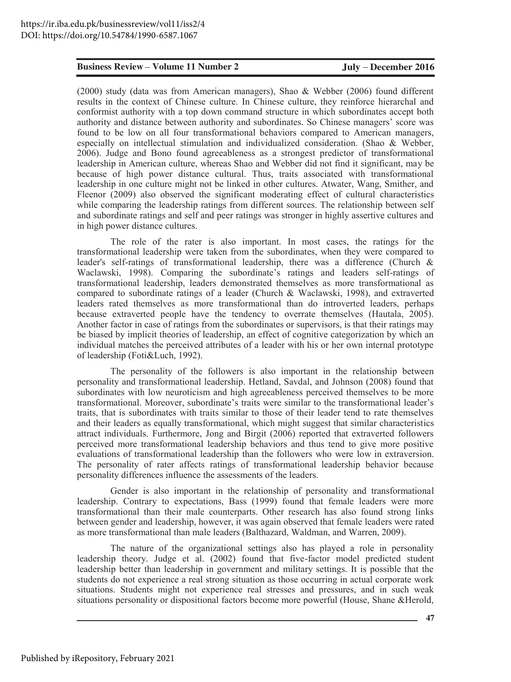(2000) study (data was from American managers), Shao & Webber (2006) found different results in the context of Chinese culture. In Chinese culture, they reinforce hierarchal and conformist authority with a top down command structure in which subordinates accept both authority and distance between authority and subordinates. So Chinese managers' score was found to be low on all four transformational behaviors compared to American managers, especially on intellectual stimulation and individualized consideration. (Shao & Webber, 2006). Judge and Bono found agreeableness as a strongest predictor of transformational leadership in American culture, whereas Shao and Webber did not find it significant, may be because of high power distance cultural. Thus, traits associated with transformational leadership in one culture might not be linked in other cultures. Atwater, Wang, Smither, and Fleenor (2009) also observed the significant moderating effect of cultural characteristics while comparing the leadership ratings from different sources. The relationship between self and subordinate ratings and self and peer ratings was stronger in highly assertive cultures and in high power distance cultures.

The role of the rater is also important. In most cases, the ratings for the transformational leadership were taken from the subordinates, when they were compared to leader's self-ratings of transformational leadership, there was a difference (Church & Waclawski, 1998). Comparing the subordinate's ratings and leaders self-ratings of transformational leadership, leaders demonstrated themselves as more transformational as compared to subordinate ratings of a leader (Church & Waclawski, 1998), and extraverted leaders rated themselves as more transformational than do introverted leaders, perhaps because extraverted people have the tendency to overrate themselves (Hautala, 2005). Another factor in case of ratings from the subordinates or supervisors, is that their ratings may be biased by implicit theories of leadership, an effect of cognitive categorization by which an individual matches the perceived attributes of a leader with his or her own internal prototype of leadership (Foti&Luch, 1992).

The personality of the followers is also important in the relationship between personality and transformational leadership. Hetland, Savdal, and Johnson (2008) found that subordinates with low neuroticism and high agreeableness perceived themselves to be more transformational. Moreover, subordinate's traits were similar to the transformational leader's traits, that is subordinates with traits similar to those of their leader tend to rate themselves and their leaders as equally transformational, which might suggest that similar characteristics attract individuals. Furthermore, Jong and Birgit (2006) reported that extraverted followers perceived more transformational leadership behaviors and thus tend to give more positive evaluations of transformational leadership than the followers who were low in extraversion. The personality of rater affects ratings of transformational leadership behavior because personality differences influence the assessments of the leaders.

Gender is also important in the relationship of personality and transformational leadership. Contrary to expectations, Bass (1999) found that female leaders were more transformational than their male counterparts. Other research has also found strong links between gender and leadership, however, it was again observed that female leaders were rated as more transformational than male leaders (Balthazard, Waldman, and Warren, 2009).

The nature of the organizational settings also has played a role in personality leadership theory. Judge et al. (2002) found that five-factor model predicted student leadership better than leadership in government and military settings. It is possible that the students do not experience a real strong situation as those occurring in actual corporate work situations. Students might not experience real stresses and pressures, and in such weak situations personality or dispositional factors become more powerful (House, Shane &Herold,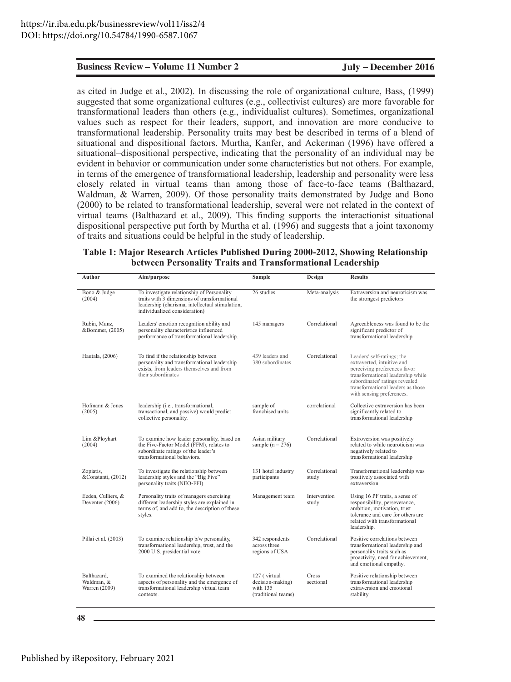#### **Table 1: Major Research Articles Published During 2000-2012, Showing Relationship between Personality Traits and Transformational Leadership**

|                                            | <b>Business Review – Volume 11 Number 2</b>                                                                                                                                                                                                                                                                                                                                                                                                                                                                                                                                                                                                                                                                                                                                                                                                                                                                                                                                                                                                                                                                                                                                                                                                                                                                                                                                                                                                                      |                                                                     | July – December 2016   |                                                                                                                                                                                                                                   |  |
|--------------------------------------------|------------------------------------------------------------------------------------------------------------------------------------------------------------------------------------------------------------------------------------------------------------------------------------------------------------------------------------------------------------------------------------------------------------------------------------------------------------------------------------------------------------------------------------------------------------------------------------------------------------------------------------------------------------------------------------------------------------------------------------------------------------------------------------------------------------------------------------------------------------------------------------------------------------------------------------------------------------------------------------------------------------------------------------------------------------------------------------------------------------------------------------------------------------------------------------------------------------------------------------------------------------------------------------------------------------------------------------------------------------------------------------------------------------------------------------------------------------------|---------------------------------------------------------------------|------------------------|-----------------------------------------------------------------------------------------------------------------------------------------------------------------------------------------------------------------------------------|--|
|                                            | as cited in Judge et al., 2002). In discussing the role of organizational culture, Bass, (1999)<br>suggested that some organizational cultures (e.g., collectivist cultures) are more favorable for<br>transformational leaders than others (e.g., individualist cultures). Sometimes, organizational<br>values such as respect for their leaders, support, and innovation are more conducive to<br>transformational leadership. Personality traits may best be described in terms of a blend of<br>situational and dispositional factors. Murtha, Kanfer, and Ackerman (1996) have offered a<br>situational–dispositional perspective, indicating that the personality of an individual may be<br>evident in behavior or communication under some characteristics but not others. For example,<br>in terms of the emergence of transformational leadership, leadership and personality were less<br>closely related in virtual teams than among those of face-to-face teams (Balthazard,<br>Waldman, & Warren, 2009). Of those personality traits demonstrated by Judge and Bono<br>(2000) to be related to transformational leadership, several were not related in the context of<br>virtual teams (Balthazard et al., 2009). This finding supports the interactionist situational<br>dispositional perspective put forth by Murtha et al. (1996) and suggests that a joint taxonomy<br>of traits and situations could be helpful in the study of leadership. |                                                                     |                        |                                                                                                                                                                                                                                   |  |
|                                            | Table 1: Major Research Articles Published During 2000-2012, Showing Relationship<br>between Personality Traits and Transformational Leadership                                                                                                                                                                                                                                                                                                                                                                                                                                                                                                                                                                                                                                                                                                                                                                                                                                                                                                                                                                                                                                                                                                                                                                                                                                                                                                                  |                                                                     |                        |                                                                                                                                                                                                                                   |  |
| Author                                     | Aim/purpose                                                                                                                                                                                                                                                                                                                                                                                                                                                                                                                                                                                                                                                                                                                                                                                                                                                                                                                                                                                                                                                                                                                                                                                                                                                                                                                                                                                                                                                      | Sample                                                              | Design                 | <b>Results</b>                                                                                                                                                                                                                    |  |
| Bono & Judge<br>(2004)                     | To investigate relationship of Personality<br>traits with 3 dimensions of transformational<br>leadership (charisma, intellectual stimulation,<br>individualized consideration)                                                                                                                                                                                                                                                                                                                                                                                                                                                                                                                                                                                                                                                                                                                                                                                                                                                                                                                                                                                                                                                                                                                                                                                                                                                                                   | 26 studies                                                          | Meta-analysis          | Extraversion and neuroticism was<br>the strongest predictors                                                                                                                                                                      |  |
| Rubin, Munz,<br>&Bommer, (2005)            | Leaders' emotion recognition ability and<br>personality characteristics influenced<br>performance of transformational leadership.                                                                                                                                                                                                                                                                                                                                                                                                                                                                                                                                                                                                                                                                                                                                                                                                                                                                                                                                                                                                                                                                                                                                                                                                                                                                                                                                | 145 managers                                                        | Correlational          | Agreeableness was found to be the<br>significant predictor of<br>transformational leadership                                                                                                                                      |  |
| Hautala, (2006)                            | To find if the relationship between<br>personality and transformational leadership<br>exists, from leaders themselves and from<br>their subordinates                                                                                                                                                                                                                                                                                                                                                                                                                                                                                                                                                                                                                                                                                                                                                                                                                                                                                                                                                                                                                                                                                                                                                                                                                                                                                                             | 439 leaders and<br>380 subordinates                                 | Correlational          | Leaders' self-ratings; the<br>extraverted, intuitive and<br>perceiving preferences favor<br>transformational leadership while<br>subordinates' ratings revealed<br>transformational leaders as those<br>with sensing preferences. |  |
| Hofmann & Jones<br>(2005)                  | leadership (i.e., transformational,<br>transactional, and passive) would predict<br>collective personality.                                                                                                                                                                                                                                                                                                                                                                                                                                                                                                                                                                                                                                                                                                                                                                                                                                                                                                                                                                                                                                                                                                                                                                                                                                                                                                                                                      | sample of<br>franchised units                                       | correlational          | Collective extraversion has been<br>significantly related to<br>transformational leadership                                                                                                                                       |  |
| Lim &Ployhart<br>(2004)                    | To examine how leader personality, based on<br>the Five-Factor Model (FFM), relates to<br>subordinate ratings of the leader's<br>transformational behaviors.                                                                                                                                                                                                                                                                                                                                                                                                                                                                                                                                                                                                                                                                                                                                                                                                                                                                                                                                                                                                                                                                                                                                                                                                                                                                                                     | Asian military<br>sample ( $n = 276$ )                              | Correlational          | Extroversion was positively<br>related to while neuroticism was<br>negatively related to<br>transformational leadership                                                                                                           |  |
| Zopiatis,<br>&Constanti, (2012)            | To investigate the relationship between<br>leadership styles and the "Big Five"<br>personality traits (NEO-FFI)                                                                                                                                                                                                                                                                                                                                                                                                                                                                                                                                                                                                                                                                                                                                                                                                                                                                                                                                                                                                                                                                                                                                                                                                                                                                                                                                                  | 131 hotel industry<br>participants                                  | Correlational<br>study | Transformational leadership was<br>positively associated with<br>extraversion                                                                                                                                                     |  |
| Eeden, Culliers, &<br>Deventer (2006)      | Personality traits of managers exercising<br>different leadership styles are explained in<br>terms of, and add to, the description of these<br>styles.                                                                                                                                                                                                                                                                                                                                                                                                                                                                                                                                                                                                                                                                                                                                                                                                                                                                                                                                                                                                                                                                                                                                                                                                                                                                                                           | Management team                                                     | Intervention<br>study  | Using 16 PF traits, a sense of<br>responsibility, perseverance,<br>ambition, motivation, trust<br>tolerance and care for others are<br>related with transformational<br>leadership.                                               |  |
| Pillai et al. (2003)                       | To examine relationship b/w personality,<br>transformational leadership, trust, and the<br>2000 U.S. presidential vote                                                                                                                                                                                                                                                                                                                                                                                                                                                                                                                                                                                                                                                                                                                                                                                                                                                                                                                                                                                                                                                                                                                                                                                                                                                                                                                                           | 342 respondents<br>across three<br>regions of USA                   | Correlational          | Positive correlations between<br>transformational leadership and<br>personality traits such as<br>proactivity, need for achievement,<br>and emotional empathy.                                                                    |  |
| Balthazard,<br>Waldman, &<br>Warren (2009) | To examined the relationship between<br>aspects of personality and the emergence of<br>transformational leadership virtual team<br>contexts.                                                                                                                                                                                                                                                                                                                                                                                                                                                                                                                                                                                                                                                                                                                                                                                                                                                                                                                                                                                                                                                                                                                                                                                                                                                                                                                     | 127 (virtual<br>decision-making)<br>with 135<br>(traditional teams) | Cross<br>sectional     | Positive relationship between<br>transformational leadership<br>extraversion and emotional<br>stability                                                                                                                           |  |
| 48                                         |                                                                                                                                                                                                                                                                                                                                                                                                                                                                                                                                                                                                                                                                                                                                                                                                                                                                                                                                                                                                                                                                                                                                                                                                                                                                                                                                                                                                                                                                  |                                                                     |                        |                                                                                                                                                                                                                                   |  |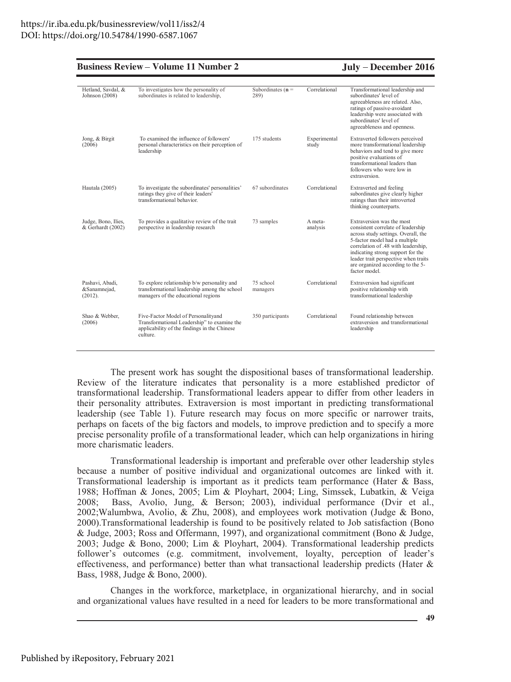|  | <b>Business Review – Volume 11 Number 2</b> |  |  |  |  |
|--|---------------------------------------------|--|--|--|--|
|--|---------------------------------------------|--|--|--|--|

July - December 2016

| Hetland, Savdal, &<br>Johnson (2008)       | To investigates how the personality of<br>subordinates is related to leadership,                                                               | Subordinates ( $n =$<br>289) | Correlational         | Transformational leadership and<br>subordinates' level of<br>agreeableness are related. Also,<br>ratings of passive-avoidant<br>leadership were associated with<br>subordinates' level of<br>agreeableness and openness.                                                                                          |
|--------------------------------------------|------------------------------------------------------------------------------------------------------------------------------------------------|------------------------------|-----------------------|-------------------------------------------------------------------------------------------------------------------------------------------------------------------------------------------------------------------------------------------------------------------------------------------------------------------|
| Jong, & Birgit<br>(2006)                   | To examined the influence of followers'<br>personal characteristics on their perception of<br>leadership                                       | 175 students                 | Experimental<br>study | Extraverted followers perceived<br>more transformational leadership<br>behaviors and tend to give more<br>positive evaluations of<br>transformational leaders than<br>followers who were low in<br>extraversion.                                                                                                  |
| Hautala (2005)                             | To investigate the subordinates' personalities'<br>ratings they give of their leaders'<br>transformational behavior.                           | 67 subordinates              | Correlational         | Extraverted and feeling<br>subordinates give clearly higher<br>ratings than their introverted<br>thinking counterparts.                                                                                                                                                                                           |
| Judge, Bono, Ilies,<br>& Gerhardt (2002)   | To provides a qualitative review of the trait<br>perspective in leadership research                                                            | 73 samples                   | A meta-<br>analysis   | Extraversion was the most<br>consistent correlate of leadership<br>across study settings. Overall, the<br>5-factor model had a multiple<br>correlation of .48 with leadership,<br>indicating strong support for the<br>leader trait perspective when traits<br>are organized according to the 5-<br>factor model. |
| Pashavi, Abadi,<br>&Sanamnejad,<br>(2012). | To explore relationship b/w personality and<br>transformational leadership among the school<br>managers of the educational regions             | 75 school<br>managers        | Correlational         | Extraversion had significant<br>positive relationship with<br>transformational leadership                                                                                                                                                                                                                         |
| Shao & Webber.<br>(2006)                   | Five-Factor Model of Personalityand<br>Transformational Leadership" to examine the<br>applicability of the findings in the Chinese<br>culture. | 350 participants             | Correlational         | Found relationship between<br>extraversion and transformational<br>leadership                                                                                                                                                                                                                                     |

The present work has sought the dispositional bases of transformational leadership. Review of the literature indicates that personality is a more established predictor of transformational leadership. Transformational leaders appear to differ from other leaders in their personality attributes. Extraversion is most important in predicting transformational leadership (see Table 1). Future research may focus on more specific or narrower traits, perhaps on facets of the big factors and models, to improve prediction and to specify a more precise personality profile of a transformational leader, which can help organizations in hiring more charismatic leaders.

Transformational leadership is important and preferable over other leadership styles because a number of positive individual and organizational outcomes are linked with it. Transformational leadership is important as it predicts team performance (Hater & Bass, 1988; Hoffman & Jones, 2005; Lim & Ployhart, 2004; Ling, Simssek, Lubatkin, & Veiga Bass, Avolio, Jung, & Berson; 2003), individual performance (Dvir et al.,  $2008:$ 2002; Walumbwa, Avolio, & Zhu, 2008), and employees work motivation (Judge & Bono, 2000). Transformational leadership is found to be positively related to Job satisfaction (Bono & Judge, 2003; Ross and Offermann, 1997), and organizational commitment (Bono & Judge, 2003; Judge & Bono, 2000; Lim & Ployhart, 2004). Transformational leadership predicts follower's outcomes (e.g. commitment, involvement, loyalty, perception of leader's effectiveness, and performance) better than what transactional leadership predicts (Hater  $\&$ Bass, 1988, Judge & Bono, 2000).

Changes in the workforce, marketplace, in organizational hierarchy, and in social and organizational values have resulted in a need for leaders to be more transformational and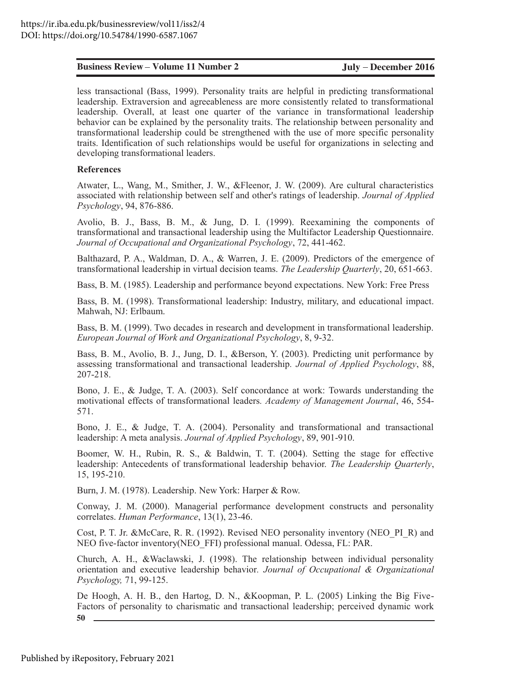less transactional (Bass, 1999). Personality traits are helpful in predicting transformational leadership. Extraversion and agreeableness are more consistently related to transformational leadership. Overall, at least one quarter of the variance in transformational leadership behavior can be explained by the personality traits. The relationship between personality and transformational leadership could be strengthened with the use of more specific personality traits. Identification of such relationships would be useful for organizations in selecting and developing transformational leaders.

#### **References**

Atwater, L., Wang, M., Smither, J. W., & Fleenor, J. W. (2009). Are cultural characteristics associated with relationship between self and other's ratings of leadership. Journal of Applied Psychology, 94, 876-886.

Avolio, B. J., Bass, B. M., & Jung, D. I. (1999). Reexamining the components of transformational and transactional leadership using the Multifactor Leadership Questionnaire. Journal of Occupational and Organizational Psychology, 72, 441-462.

Balthazard, P. A., Waldman, D. A., & Warren, J. E. (2009). Predictors of the emergence of transformational leadership in virtual decision teams. The Leadership Quarterly, 20, 651-663.

Bass, B. M. (1985). Leadership and performance beyond expectations. New York: Free Press

Bass, B. M. (1998). Transformational leadership: Industry, military, and educational impact. Mahwah, NJ: Erlbaum.

Bass, B. M. (1999). Two decades in research and development in transformational leadership. European Journal of Work and Organizational Psychology, 8, 9-32.

Bass, B. M., Avolio, B. J., Jung, D. I., &Berson, Y. (2003). Predicting unit performance by assessing transformational and transactional leadership. Journal of Applied Psychology, 88, 207-218.

Bono, J. E., & Judge, T. A. (2003). Self concordance at work: Towards understanding the motivational effects of transformational leaders. Academy of Management Journal, 46, 554-571.

Bono, J. E., & Judge, T. A. (2004). Personality and transformational and transactional leadership: A meta analysis. Journal of Applied Psychology, 89, 901-910.

Boomer, W. H., Rubin, R. S., & Baldwin, T. T. (2004). Setting the stage for effective leadership: Antecedents of transformational leadership behavior. The Leadership Quarterly, 15, 195-210.

Burn, J. M. (1978). Leadership. New York: Harper & Row.

Conway, J. M. (2000). Managerial performance development constructs and personality correlates. Human Performance, 13(1), 23-46.

Cost, P. T. Jr. &McCare, R. R. (1992). Revised NEO personality inventory (NEO PI R) and NEO five-factor inventory(NEO FFI) professional manual. Odessa, FL: PAR.

Church, A. H., & Waclawski, J. (1998). The relationship between individual personality orientation and executive leadership behavior. Journal of Occupational & Organizational *Psychology*, 71, 99-125.

De Hoogh, A. H. B., den Hartog, D. N., & Koopman, P. L. (2005) Linking the Big Five-Factors of personality to charismatic and transactional leadership; perceived dynamic work 50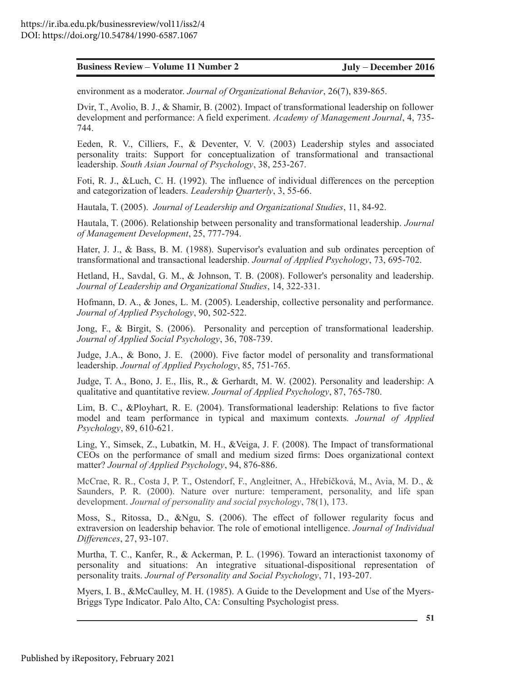Dvir, T., Avolio, B. J., & Shamir, B. (2002). Impact of transformational leadership on follower development and performance: A field experiment. Academy of Management Journal, 4, 735-744.

**Ensiness Review • Volume 11 Number 2 July • December 2016<br>
moviesoment as a moderator. Journal of Organizational Helancor, 24(2), 833-84.65.<br>
Dvis T., N., Clitters, F., & Bournier, B. (2002). Impact of transformational le** Eeden, R. V., Cilliers, F., & Deventer, V. V. (2003) Leadership styles and associated personality traits: Support for conceptualization of transformational and transactional leadership. South Asian Journal of Psychology, 38, 253-267.

Foti, R. J., & Luch, C. H. (1992). The influence of individual differences on the perception and categorization of leaders. *Leadership Quarterly*, 3, 55-66.

Hautala, T. (2005). Journal of Leadership and Organizational Studies, 11, 84-92.

Hautala, T. (2006). Relationship between personality and transformational leadership. *Journal* of Management Development, 25, 777-794.

Hater, J. J., & Bass, B. M. (1988). Supervisor's evaluation and sub ordinates perception of transformational and transactional leadership. Journal of Applied Psychology, 73, 695-702.

Hetland, H., Savdal, G. M., & Johnson, T. B. (2008). Follower's personality and leadership. Journal of Leadership and Organizational Studies, 14, 322-331.

Hofmann, D. A., & Jones, L. M. (2005). Leadership, collective personality and performance. Journal of Applied Psychology, 90, 502-522.

Jong, F., & Birgit, S.  $(2006)$ . Personality and perception of transformational leadership. *Journal of Applied Social Psychology*, 36, 708-739.

Judge, J.A., & Bono, J. E. (2000). Five factor model of personality and transformational leadership. Journal of Applied Psychology, 85, 751-765.

Judge, T. A., Bono, J. E., Ilis, R., & Gerhardt, M. W. (2002). Personality and leadership: A qualitative and quantitative review. Journal of Applied Psychology, 87, 765-780.

Lim, B. C., & Ployhart, R. E. (2004). Transformational leadership: Relations to five factor model and team performance in typical and maximum contexts. *Journal of Applied Psychology*, 89, 610-621.

Ling, Y., Simsek, Z., Lubatkin, M. H., & Veiga, J. F. (2008). The Impact of transformational CEOs on the performance of small and medium sized firms: Does organizational context matter? Journal of Applied Psychology, 94, 876-886.

McCrae, R. R., Costa J, P. T., Ostendorf, F., Angleitner, A., Hřebíčková, M., Avia, M. D., & Saunders, P. R. (2000). Nature over nurture: temperament, personality, and life span development. Journal of personality and social psychology, 78(1), 173.

Moss, S., Ritossa, D., &Ngu, S. (2006). The effect of follower regularity focus and extraversion on leadership behavior. The role of emotional intelligence. Journal of Individual *Differences*, 27, 93-107.

Murtha, T. C., Kanfer, R., & Ackerman, P. L. (1996). Toward an interactionist taxonomy of personality and situations: An integrative situational-dispositional representation of personality traits. Journal of Personality and Social Psychology, 71, 193-207.

Myers, I. B., &McCaulley, M. H. (1985). A Guide to the Development and Use of the Myers-Briggs Type Indicator. Palo Alto, CA: Consulting Psychologist press.